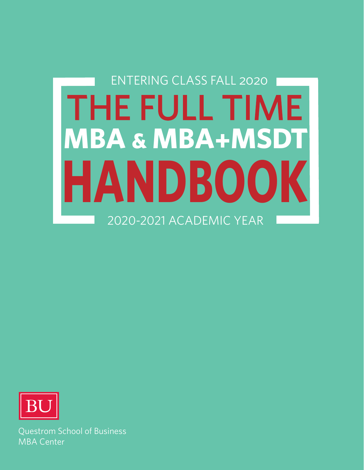# ENTERING CLASS FALL 2020 THE FULL TIME **MBA & MBA+MSDT HANDBOOK** 2020-2021 ACADEMIC YEAR



Questrom School of Business MBA Center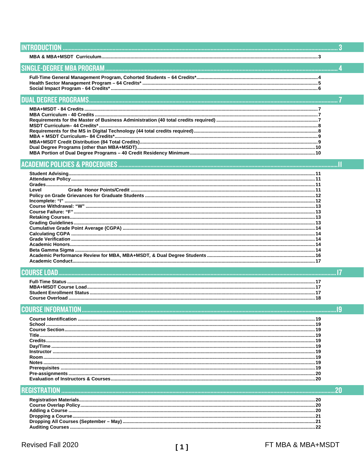| Level |  |
|-------|--|
|       |  |
|       |  |
|       |  |

| <b>Course Identification</b><br>School<br><b>Course Section.</b><br>Title.<br>Dav/Time<br>Instructor |  |
|------------------------------------------------------------------------------------------------------|--|
|                                                                                                      |  |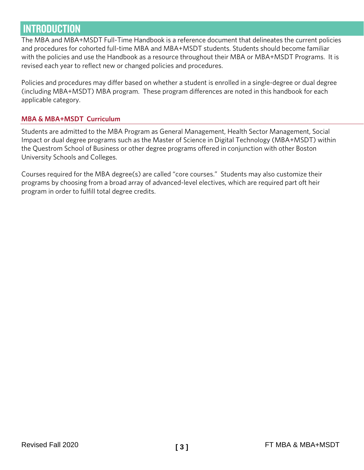# <span id="page-3-0"></span>**INTRODUCTION**

The MBA and MBA+MSDT Full-Time Handbook is a reference document that delineates the current policies and procedures for cohorted full-time MBA and MBA+MSDT students. Students should become familiar with the policies and use the Handbook as a resource throughout their MBA or MBA+MSDT Programs. It is revised each year to reflect new or changed policies and procedures.

Policies and procedures may differ based on whether a student is enrolled in a single-degree or dual degree (including MBA+MSDT) MBA program. These program differences are noted in this handbook for each applicable category.

# <span id="page-3-1"></span>**MBA & MBA+MSDT Curriculum**

Students are admitted to the MBA Program as General Management, Health Sector Management, Social Impact or dual degree programs such as the Master of Science in Digital Technology (MBA+MSDT) within the Questrom School of Business or other degree programs offered in conjunction with other Boston University Schools and Colleges.

Courses required for the MBA degree(s) are called "core courses." Students may also customize their programs by choosing from a broad array of advanced-level electives, which are required part oft heir program in order to fulfill total degree credits.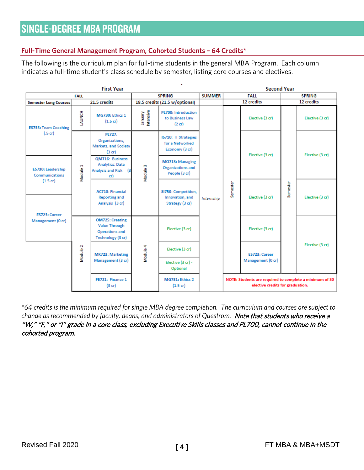# <span id="page-4-1"></span><span id="page-4-0"></span>**Full-Time General Management Program, Cohorted Students – 64 Credits\***

The following is the curriculum plan for full-time students in the general MBA Program. Each column indicates a full-time student's class schedule by semester, listing core courses and electives.

|                                            |                                                 | <b>First Year</b>                                                                            |                                                                                                                                                                                             |                                                                   |               | <b>Second Year</b> |                                                                                             |                 |                 |
|--------------------------------------------|-------------------------------------------------|----------------------------------------------------------------------------------------------|---------------------------------------------------------------------------------------------------------------------------------------------------------------------------------------------|-------------------------------------------------------------------|---------------|--------------------|---------------------------------------------------------------------------------------------|-----------------|-----------------|
| <b>FALL</b>                                |                                                 |                                                                                              | <b>SPRING</b>                                                                                                                                                                               |                                                                   | <b>SUMMER</b> | FALL               |                                                                                             | <b>SPRING</b>   |                 |
| <b>Semester Long Courses</b>               |                                                 | 21.5 credits                                                                                 |                                                                                                                                                                                             | 18.5 credits (21.5 w/optional)                                    |               | 12 credits         |                                                                                             | 12 credits      |                 |
| <b>ES735: Team Coaching</b>                | LAUNCH                                          | MG730: Ethics 1<br>$(1.5 \text{ cr})$                                                        | January<br>Intensive                                                                                                                                                                        | <b>PL700: Introduction</b><br>to Business Law<br>$(2 \text{ cr})$ |               |                    | Elective (3 cr)                                                                             |                 | Elective (3 cr) |
| $(.5 \text{ cr})$                          |                                                 | <b>PL727:</b><br>Organizations,<br><b>Markets, and Society</b><br>(3 cr)                     | IS710: IT Strategies<br>for a Networked<br>Economy (3 cr)<br>MO713: Managing<br>Module 3<br>Organizations and<br>People (3 cr)<br>SI750: Competition,<br>Innovation, and<br>Strategy (3 cr) |                                                                   |               | Elective (3 cr)    |                                                                                             | Elective (3 cr) |                 |
| ES730: Leadership<br><b>Communications</b> | Module 1                                        | QM716: Business<br><b>Analytics: Data</b><br><b>Analysis and Risk</b><br>13<br>cr)           |                                                                                                                                                                                             |                                                                   |               |                    |                                                                                             | Semester        |                 |
| $(1.5 \text{ cr})$<br>ES723: Career        |                                                 | <b>AC710: Financial</b><br><b>Reporting and</b><br>Analysis (3 cr)                           |                                                                                                                                                                                             |                                                                   | Internship    | Semester           | Elective (3 cr)                                                                             |                 | Elective (3 cr) |
| Management (0 cr)                          |                                                 | <b>OM725: Creating</b><br><b>Value Through</b><br><b>Operations and</b><br>Technology (3 cr) |                                                                                                                                                                                             | Elective (3 cr)                                                   |               |                    | Elective (3 cr)                                                                             |                 |                 |
|                                            | Vlodule <sub>2</sub><br><b>MK723: Marketing</b> | Module 4                                                                                     | Elective (3 cr)                                                                                                                                                                             |                                                                   |               | ES723: Career      |                                                                                             | Elective (3 cr) |                 |
|                                            |                                                 | Management (3 cr)                                                                            |                                                                                                                                                                                             | Elective (3 cr) -<br>Optional                                     |               |                    | Management (0 cr)                                                                           |                 |                 |
|                                            |                                                 | FE721: Finance 1<br>$(3$ cr $)$                                                              |                                                                                                                                                                                             | MG731: Ethics 2<br>$(1.5 \text{ or})$                             |               |                    | NOTE: Students are required to complete a minimum of 30<br>elective credits for graduation. |                 |                 |

*\*64 credits is the minimum required for single MBA degree completion. The curriculum and courses are subject to*  change as recommended by faculty, deans, and administrators of Questrom. Note that students who receive a "W," "F," or "I" grade in a core class, excluding Executive Skills classes and PL700, cannot continue in the cohorted program.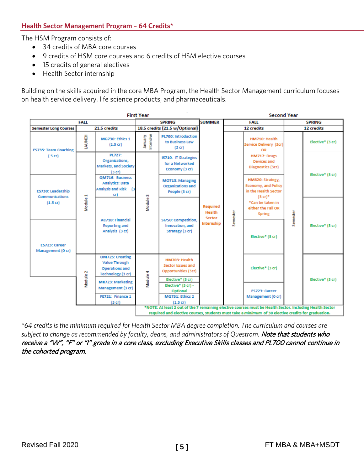# <span id="page-5-0"></span>**Health Sector Management Program – 64 Credits\***

The HSM Program consists of:

- 34 credits of MBA core courses
- 9 credits of HSM core courses and 6 credits of HSM elective courses
- 15 credits of general electives
- Health Sector internship

Building on the skills acquired in the core MBA Program, the Health Sector Management curriculum focuses on health service delivery, life science products, and pharmaceuticals.



*\*64 credits is the minimum required for Health Sector MBA degree completion. The curriculum and courses are*  subject to change as recommended by faculty, deans, and administrators of Questrom. Note that students who receive a "W", "F" or "I" grade in a core class, excluding Executive Skills classes and PL700 cannot continue in the cohorted program.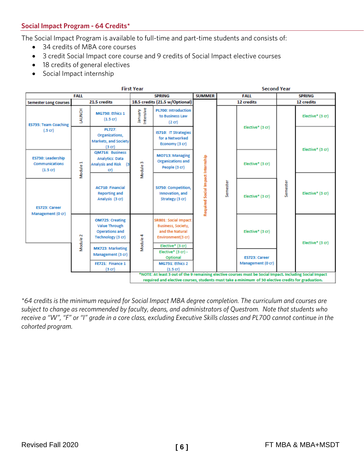<span id="page-6-0"></span>The Social Impact Program is available to full-time and part-time students and consists of:

- 34 credits of MBA core courses
- 3 credit Social Impact core course and 9 credits of Social Impact elective courses
- 18 credits of general electives
- Social Impact internship



*\*64 credits is the minimum required for Social Impact MBA degree completion. The curriculum and courses are subject to change as recommended by faculty, deans, and administrators of Questrom. Note that students who receive a "W", "F" or "I" grade in a core class, excluding Executive Skills classes and PL700 cannot continue in the cohorted program.*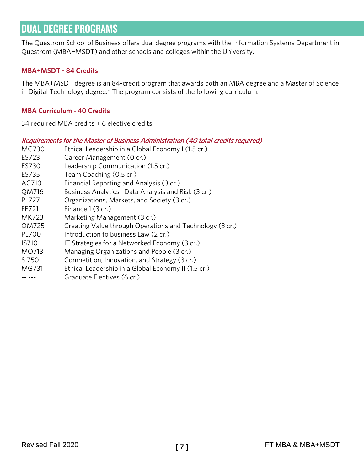# <span id="page-7-0"></span>DUAL DEGREE PROGRAMS

The Questrom School of Business offers dual degree programs with the Information Systems Department in Questrom (MBA+MSDT) and other schools and colleges within the University.

# <span id="page-7-1"></span>**MBA+MSDT - 84 Credits**

The MBA+MSDT degree is an 84-credit program that awards both an MBA degree and a Master of Science in Digital Technology degree.\* The program consists of the following curriculum:

#### <span id="page-7-2"></span>**MBA Curriculum - 40 Credits**

34 required MBA credits + 6 elective credits

<span id="page-7-3"></span>

|              | Requirements for the Master of Business Administration (40 total credits required) |
|--------------|------------------------------------------------------------------------------------|
| MG730        | Ethical Leadership in a Global Economy I (1.5 cr.)                                 |
| ES723        | Career Management (0 cr.)                                                          |
| ES730        | Leadership Communication (1.5 cr.)                                                 |
| ES735        | Team Coaching (0.5 cr.)                                                            |
| AC710        | Financial Reporting and Analysis (3 cr.)                                           |
| QM716        | Business Analytics: Data Analysis and Risk (3 cr.)                                 |
| PL727        | Organizations, Markets, and Society (3 cr.)                                        |
| FE721        | Finance 1 (3 cr.)                                                                  |
| <b>MK723</b> | Marketing Management (3 cr.)                                                       |
| OM725        | Creating Value through Operations and Technology (3 cr.)                           |
| <b>PL700</b> | Introduction to Business Law (2 cr.)                                               |
| <b>IS710</b> | IT Strategies for a Networked Economy (3 cr.)                                      |
| MO713        | Managing Organizations and People (3 cr.)                                          |
| SI750        | Competition, Innovation, and Strategy (3 cr.)                                      |
| MG731        | Ethical Leadership in a Global Economy II (1.5 cr.)                                |
|              | Graduate Electives (6 cr.)                                                         |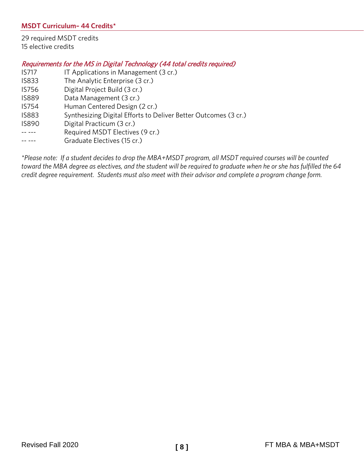<span id="page-8-0"></span>29 required MSDT credits 15 elective credits

# <span id="page-8-1"></span>Requirements for the MS in Digital Technology (44 total credits required)

- IS717 IT Applications in Management (3 cr.)
- IS833 The Analytic Enterprise (3 cr.)
- IS756 Digital Project Build (3 cr.)
- IS889 Data Management (3 cr.)
- IS754 Human Centered Design (2 cr.)
- IS883 Synthesizing Digital Efforts to Deliver Better Outcomes (3 cr.)
- IS890 Digital Practicum (3 cr.)
- -- --- Required MSDT Electives (9 cr.)
- -- --- Graduate Electives (15 cr.)

*\*Please note: If a student decides to drop the MBA+MSDT program, all MSDT required courses will be counted toward the MBA degree as electives, and the student will be required to graduate when he or she has fulfilled the 64 credit degree requirement. Students must also meet with their advisor and complete a program change form.*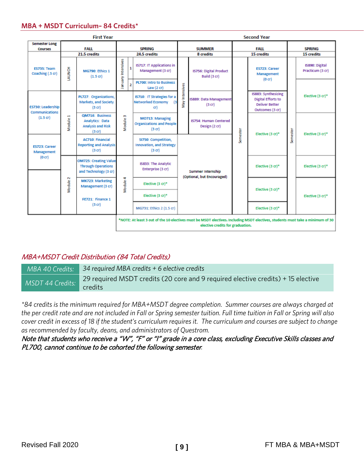#### <span id="page-9-0"></span>**MBA + MSDT Curriculum– 84 Credits\***

| <b>First Year</b>                      |                                                                                                                                                                    |                                                                                                    |                                                                           | <b>Second Year</b> |                                                                                 |                                                     |                                        |                           |                                                                                                     |                             |                                    |                  |
|----------------------------------------|--------------------------------------------------------------------------------------------------------------------------------------------------------------------|----------------------------------------------------------------------------------------------------|---------------------------------------------------------------------------|--------------------|---------------------------------------------------------------------------------|-----------------------------------------------------|----------------------------------------|---------------------------|-----------------------------------------------------------------------------------------------------|-----------------------------|------------------------------------|------------------|
| <b>Semester Long</b><br><b>Courses</b> |                                                                                                                                                                    | <b>FALL</b><br>21.5 credits                                                                        | <b>SPRING</b>                                                             |                    | <b>SUMMER</b><br>24.5 credits                                                   |                                                     | 8 credits                              | <b>FALL</b><br>15 credits |                                                                                                     | <b>SPRING</b><br>15 credits |                                    |                  |
| <b>ES735: Team</b><br>Coaching (.5 cr) | <b>HONUN</b>                                                                                                                                                       | MG790: Ethics 1<br>$(1.5 \text{ cr})$                                                              | an uary Intensives                                                        | 1                  | <b>IS717: IT Applications in</b><br>Management (3 cr)                           |                                                     | IS756: Digital Product<br>Build (3 cr) |                           | ES723: Career<br>Management<br>(0 <sub>cr</sub> )                                                   |                             | IS890: Digital<br>Practicum (3 cr) |                  |
|                                        |                                                                                                                                                                    |                                                                                                    |                                                                           | 2                  | <b>PL700: Intro to Business</b><br>Law $(2 \text{ cr})$                         | Intensives                                          |                                        |                           |                                                                                                     |                             |                                    |                  |
| ES730: Leadership<br>Communications    |                                                                                                                                                                    | PL727: Organizations,<br>Markets, and Society<br>(3 cr)                                            |                                                                           |                    | <b>IS710: IT Strategies for a</b><br><b>Networked Economy</b><br>$^{13}$<br>cr) | IS889: Data Management<br>Vay<br>(3 <sub>cr</sub> ) |                                        |                           | <b>IS883: Synthesizing</b><br><b>Digital Efforts to</b><br><b>Deliver Better</b><br>Outcomes (3 cr) |                             | Elective (3 cr)*                   |                  |
| $(1.5 \text{ cr})$                     | Module <sub>1</sub>                                                                                                                                                | <b>OM716: Business</b><br><b>Analytics: Data</b><br><b>Analysis and Risk</b><br>(3 <sub>cr</sub> ) | Module <sub>3</sub>                                                       |                    | MO713: Managing<br><b>Organizations and People</b><br>$(3$ cr $)$               | IS754: Human Centered<br>Design (2 cr)              |                                        |                           | Elective (3 cr)*                                                                                    |                             | Elective (3 cr)*                   |                  |
| <b>ES723: Career</b><br>Management     |                                                                                                                                                                    | <b>AC710: Financial</b><br><b>Reporting and Analysis</b><br>(3 cr)                                 |                                                                           |                    | SI750: Competition,<br><b>Innovation, and Strategy</b><br>$(3 \text{ cr})$      |                                                     |                                        | Semester                  |                                                                                                     | Semester                    |                                    |                  |
| (0cr)                                  |                                                                                                                                                                    | <b>OM725: Creating Value</b><br><b>Through Operations</b><br>and Technology (3 cr)                 | IS833: The Analytic<br>Enterprise (3 cr)<br>Mo dule 4<br>Elective (3 cr)* |                    |                                                                                 |                                                     | <b>Summer Internship</b>               |                           |                                                                                                     | Elective (3 cr)*            |                                    | Elective (3 cr)* |
|                                        | Module 2                                                                                                                                                           | <b>MK723: Marketing</b><br>Management (3 cr)                                                       |                                                                           |                    |                                                                                 | (Optional, but Encouraged)                          |                                        |                           | Elective (3 cr)*                                                                                    |                             |                                    |                  |
|                                        |                                                                                                                                                                    | FE721: Finance 1                                                                                   |                                                                           |                    | Elective (3 cr)*                                                                |                                                     |                                        |                           |                                                                                                     |                             | Elective (3 cr)*                   |                  |
|                                        |                                                                                                                                                                    | (3 <sub>cr</sub> )                                                                                 |                                                                           |                    | MG731: Ethics 2 (1.5 cr)                                                        |                                                     |                                        |                           |                                                                                                     |                             | Elective (3 cr)*                   |                  |
|                                        | *NOTE: At least 3 out of the 10 electives must be MSDT electives. Including MSDT electives, students must take a minimum of 30<br>elective credits for graduation. |                                                                                                    |                                                                           |                    |                                                                                 |                                                     |                                        |                           |                                                                                                     |                             |                                    |                  |

# <span id="page-9-1"></span>MBA+MSDT Credit Distribution (84 Total Credits)

*MBA 40 Credits: 34 required MBA credits + 6 elective credits MSDT 44 Credits:* 29 required MSDT credits (20 core and 9 required elective credits) + 15 elective credits

*\*84 credits is the minimum required for MBA+MSDT degree completion. Summer courses are always charged at the per credit rate and are not included in Fall or Spring semester tuition. Full time tuition in Fall or Spring will also cover credit in excess of 18 if the student's curriculum requires it. The curriculum and courses are subject to change as recommended by faculty, deans, and administrators of Questrom.*

Note that students who receive a "W", "F" or "I" grade in a core class, excluding Executive Skills classes and PL700, cannot continue to be cohorted the following semester*.*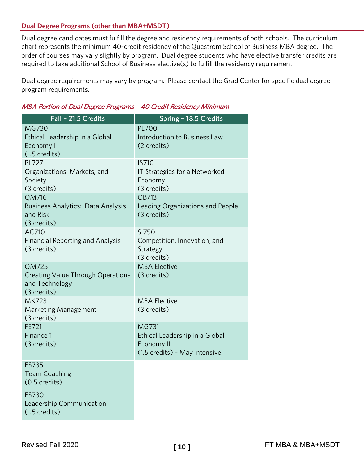# <span id="page-10-0"></span>**Dual Degree Programs (other than MBA+MSDT)**

Dual degree candidates must fulfill the degree and residency requirements of both schools. The curriculum chart represents the minimum 40-credit residency of the Questrom School of Business MBA degree. The order of courses may vary slightly by program. Dual degree students who have elective transfer credits are required to take additional School of Business elective(s) to fulfill the residency requirement.

Dual degree requirements may vary by program. Please contact the Grad Center for specific dual degree program requirements.

| Fall - 21.5 Credits                                                                       | Spring - 18.5 Credits                                                                                |
|-------------------------------------------------------------------------------------------|------------------------------------------------------------------------------------------------------|
| <b>MG730</b><br>Ethical Leadership in a Global<br>Economy I<br>$(1.5 \text{ credits})$    | <b>PL700</b><br>Introduction to Business Law<br>(2 credits)                                          |
| <b>PL727</b><br>Organizations, Markets, and<br>Society<br>(3 credits)                     | <b>IS710</b><br>IT Strategies for a Networked<br>Economy<br>(3 credits)                              |
| QM716<br>Business Analytics: Data Analysis<br>and Risk<br>(3 credits)                     | <b>OB713</b><br>Leading Organizations and People<br>(3 credits)                                      |
| AC710<br><b>Financial Reporting and Analysis</b><br>(3 credits)                           | SI750<br>Competition, Innovation, and<br>Strategy<br>(3 credits)                                     |
| <b>OM725</b><br><b>Creating Value Through Operations</b><br>and Technology<br>(3 credits) | <b>MBA Elective</b><br>(3 credits)                                                                   |
| <b>MK723</b><br>Marketing Management<br>(3 credits)                                       | <b>MBA Elective</b><br>(3 credits)                                                                   |
| FE721<br>Finance 1<br>(3 credits)                                                         | <b>MG731</b><br>Ethical Leadership in a Global<br><b>Economy II</b><br>(1.5 credits) - May intensive |
| <b>ES735</b><br><b>Team Coaching</b><br>$(0.5 \text{ credits})$                           |                                                                                                      |
| <b>ES730</b><br>Leadership Communication<br>$(1.5 \text{ credits})$                       |                                                                                                      |

# <span id="page-10-1"></span>MBA Portion of Dual Degree Programs – 40 Credit Residency Minimum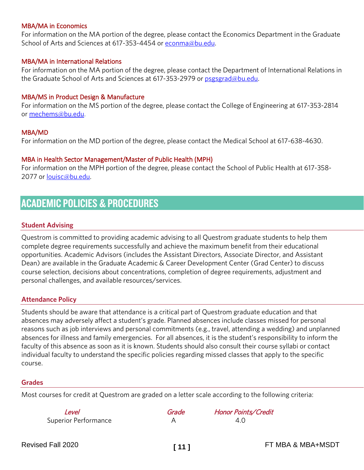#### MBA/MA in Economics

For information on the MA portion of the degree, please contact the Economics Department in the Graduate School of Arts and Sciences at 617-353-4454 o[r econma@bu.edu.](mailto:econma@bu.edu)

#### MBA/MA in International Relations

For information on the MA portion of the degree, please contact the Department of International Relations in the Graduate School of Arts and Sciences at 617-353-2979 or [psgsgrad@bu.edu.](mailto:psgsgrad@bu.edu)

#### MBA/MS in Product Design & Manufacture

For information on the MS portion of the degree, please contact the College of Engineering at 617-353-2814 or [mechems@bu.edu.](mailto:mechems@bu.edu)

#### MBA/MD

For information on the MD portion of the degree, please contact the Medical School at 617-638-4630.

#### MBA in Health Sector Management/Master of Public Health (MPH)

For information on the MPH portion of the degree, please contact the School of Public Health at 617-358- 2077 or [louisc@bu.edu.](mailto:louisc@bu.edu) 

# <span id="page-11-0"></span>ACADEMIC POLICIES & PROCEDURES

#### <span id="page-11-1"></span>**Student Advising**

Questrom is committed to providing academic advising to all Questrom graduate students to help them complete degree requirements successfully and achieve the maximum benefit from their educational opportunities. Academic Advisors (includes the Assistant Directors, Associate Director, and Assistant Dean) are available in the Graduate Academic & Career Development Center (Grad Center) to discuss course selection, decisions about concentrations, completion of degree requirements, adjustment and personal challenges, and available resources/services.

#### <span id="page-11-2"></span>**Attendance Policy**

Students should be aware that attendance is a critical part of Questrom graduate education and that absences may adversely affect a student's grade. Planned absences include classes missed for personal reasons such as job interviews and personal commitments (e.g., travel, attending a wedding) and unplanned absences for illness and family emergencies. For all absences, it is the student's responsibility to inform the faculty of this absence as soon as it is known. Students should also consult their course syllabi or contact individual faculty to understand the specific policies regarding missed classes that apply to the specific course.

#### <span id="page-11-3"></span>**Grades**

<span id="page-11-4"></span>Most courses for credit at Questrom are graded on a letter scale according to the following criteria:

| Level                       | Grade | <b>Honor Points/Credit</b> |
|-----------------------------|-------|----------------------------|
| <b>Superior Performance</b> |       | 4.0                        |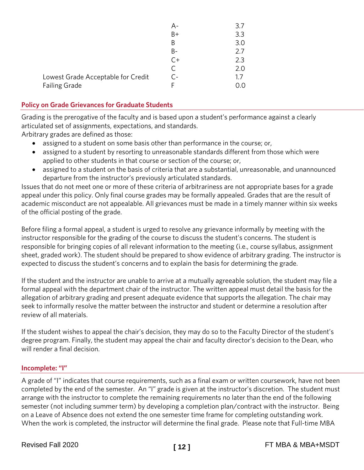|                                    | A-   | 3.7 |
|------------------------------------|------|-----|
|                                    | B+   | 3.3 |
|                                    | B    | 3.0 |
|                                    | B-   | 2.7 |
|                                    | $C+$ | 2.3 |
|                                    |      | 2.0 |
| Lowest Grade Acceptable for Credit | r -  | 1.7 |
| <b>Failing Grade</b>               |      | ).O |
|                                    |      |     |

# <span id="page-12-0"></span>**Policy on Grade Grievances for Graduate Students**

Grading is the prerogative of the faculty and is based upon a student's performance against a clearly articulated set of assignments, expectations, and standards.

Arbitrary grades are defined as those:

- assigned to a student on some basis other than performance in the course; or,
- assigned to a student by resorting to unreasonable standards different from those which were applied to other students in that course or section of the course; or,
- assigned to a student on the basis of criteria that are a substantial, unreasonable, and unannounced departure from the instructor's previously articulated standards.

Issues that do not meet one or more of these criteria of arbitrariness are not appropriate bases for a grade appeal under this policy. Only final course grades may be formally appealed. Grades that are the result of academic misconduct are not appealable. All grievances must be made in a timely manner within six weeks of the official posting of the grade.

Before filing a formal appeal, a student is urged to resolve any grievance informally by meeting with the instructor responsible for the grading of the course to discuss the student's concerns. The student is responsible for bringing copies of all relevant information to the meeting (i.e., course syllabus, assignment sheet, graded work). The student should be prepared to show evidence of arbitrary grading. The instructor is expected to discuss the student's concerns and to explain the basis for determining the grade.

If the student and the instructor are unable to arrive at a mutually agreeable solution, the student may file a formal appeal with the department chair of the instructor. The written appeal must detail the basis for the allegation of arbitrary grading and present adequate evidence that supports the allegation. The chair may seek to informally resolve the matter between the instructor and student or determine a resolution after review of all materials.

If the student wishes to appeal the chair's decision, they may do so to the Faculty Director of the student's degree program. Finally, the student may appeal the chair and faculty director's decision to the Dean, who will render a final decision.

#### <span id="page-12-1"></span>**Incomplete: "I"**

A grade of "I" indicates that course requirements, such as a final exam or written coursework, have not been completed by the end of the semester. An "I" grade is given at the instructor's discretion. The student must arrange with the instructor to complete the remaining requirements no later than the end of the following semester (not including summer term) by developing a completion plan/contract with the instructor. Being on a Leave of Absence does not extend the one semester time frame for completing outstanding work. When the work is completed, the instructor will determine the final grade. Please note that Full-time MBA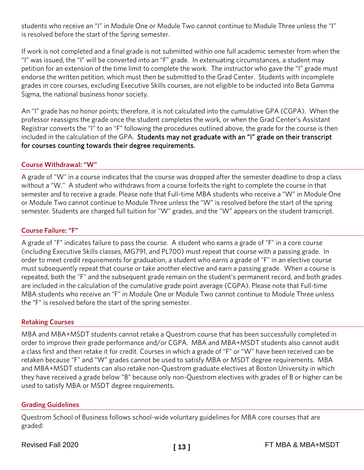students who receive an "I" in Module One or Module Two cannot continue to Module Three unless the "I" is resolved before the start of the Spring semester.

If work is not completed and a final grade is not submitted within one full academic semester from when the "I" was issued, the "I" will be converted into an "F" grade. In extenuating circumstances, a student may petition for an extension of the time limit to complete the work. The instructor who gave the "I" grade must endorse the written petition, which must then be submitted to the Grad Center. Students with incomplete grades in core courses, excluding Executive Skills courses, are not eligible to be inducted into Beta Gamma Sigma, the national business honor society.

An "I" grade has no honor points; therefore, it is not calculated into the cumulative GPA (CGPA). When the professor reassigns the grade once the student completes the work, or when the Grad Center's Assistant Registrar converts the "I" to an "F" following the procedures outlined above, the grade for the course is then included in the calculation of the GPA. Students may not graduate with an "I" grade on their transcript for courses counting towards their degree requirements.

# <span id="page-13-0"></span>**Course Withdrawal: "W"**

A grade of "W" in a course indicates that the course was dropped after the semester deadline to drop a class without a "W." A student who withdraws from a course forfeits the right to complete the course in that semester and to receive a grade. Please note that Full-time MBA students who receive a "W" in Module One or Module Two cannot continue to Module Three unless the "W" is resolved before the start of the spring semester. Students are charged full tuition for "W" grades, and the "W" appears on the student transcript.

# <span id="page-13-1"></span>**Course Failure: "F"**

A grade of "F" indicates failure to pass the course. A student who earns a grade of "F" in a core course (including Executive Skills classes, MG791, and PL700) must repeat that course with a passing grade. In order to meet credit requirements for graduation, a student who earns a grade of "F" in an elective course must subsequently repeat that course or take another elective and earn a passing grade. When a course is repeated, both the "F" and the subsequent grade remain on the student's permanent record, and both grades are included in the calculation of the cumulative grade point average (CGPA). Please note that Full-time MBA students who receive an "F" in Module One or Module Two cannot continue to Module Three unless the "F" is resolved before the start of the spring semester.

#### <span id="page-13-2"></span>**Retaking Courses**

MBA and MBA+MSDT students cannot retake a Questrom course that has been successfully completed in order to improve their grade performance and/or CGPA. MBA and MBA+MSDT students also cannot audit a class first and then retake it for credit. Courses in which a grade of "F" or "W" have been received can be retaken because "F" and "W" grades cannot be used to satisfy MBA or MSDT degree requirements. MBA and MBA+MSDT students can also retake non-Questrom graduate electives at Boston University in which they have received a grade below "B" because only non-Questrom electives with grades of B or higher can be used to satisfy MBA or MSDT degree requirements.

#### <span id="page-13-3"></span>**Grading Guidelines**

Questrom School of Business follows school-wide voluntary guidelines for MBA core courses that are graded: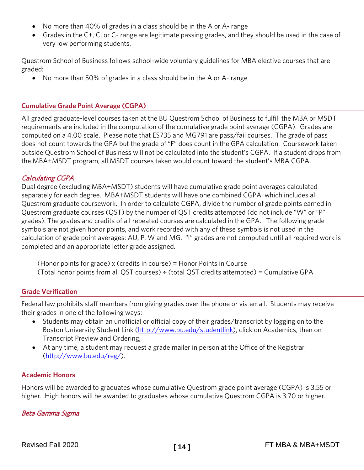- No more than 40% of grades in a class should be in the A or A- range
- Grades in the C+, C, or C- range are legitimate passing grades, and they should be used in the case of very low performing students.

Questrom School of Business follows school-wide voluntary guidelines for MBA elective courses that are graded:

• No more than 50% of grades in a class should be in the A or A- range

## <span id="page-14-0"></span>**Cumulative Grade Point Average (CGPA)**

All graded graduate-level courses taken at the BU Questrom School of Business to fulfill the MBA or MSDT requirements are included in the computation of the cumulative grade point average (CGPA). Grades are computed on a 4.00 scale. Please note that ES735 and MG791 are pass/fail courses. The grade of pass does not count towards the GPA but the grade of "F" does count in the GPA calculation. Coursework taken outside Questrom School of Business will not be calculated into the student's CGPA. If a student drops from the MBA+MSDT program, all MSDT courses taken would count toward the student's MBA CGPA.

# <span id="page-14-1"></span>Calculating CGPA

Dual degree (excluding MBA+MSDT) students will have cumulative grade point averages calculated separately for each degree. MBA+MSDT students will have one combined CGPA, which includes all Questrom graduate coursework. In order to calculate CGPA, divide the number of grade points earned in Questrom graduate courses (QST) by the number of QST credits attempted (do not include "W" or "P" grades). The grades and credits of all repeated courses are calculated in the GPA. The following grade symbols are not given honor points, and work recorded with any of these symbols is not used in the calculation of grade point averages: AU, P, W and MG. "I" grades are not computed until all required work is completed and an appropriate letter grade assigned.

 (Honor points for grade) x (credits in course) = Honor Points in Course (Total honor points from all QST courses)  $\div$  (total QST credits attempted) = Cumulative GPA

#### <span id="page-14-2"></span>**Grade Verification**

Federal law prohibits staff members from giving grades over the phone or via email. Students may receive their grades in one of the following ways:

- Students may obtain an unofficial or official copy of their grades/transcript by logging on to the Boston University Student Link [\(http://www.bu.edu/studentlink\)](http://www.bu.edu/studentlink), click on Academics, then on Transcript Preview and Ordering;
- At any time, a student may request a grade mailer in person at the Office of the Registrar [\(http://www.bu.edu/reg/\)](http://www.bu.edu/reg/).

#### <span id="page-14-3"></span>**Academic Honors**

Honors will be awarded to graduates whose cumulative Questrom grade point average (CGPA) is 3.55 or higher. High honors will be awarded to graduates whose cumulative Questrom CGPA is 3.70 or higher.

#### <span id="page-14-4"></span>Beta Gamma Sigma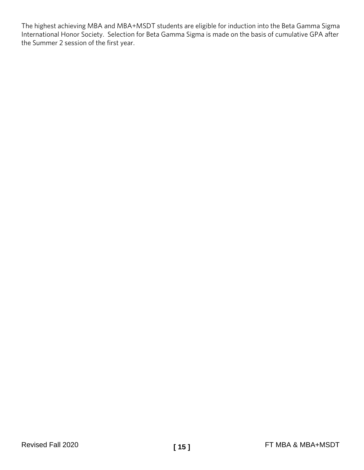The highest achieving MBA and MBA+MSDT students are eligible for induction into the Beta Gamma Sigma International Honor Society. Selection for Beta Gamma Sigma is made on the basis of cumulative GPA after the Summer 2 session of the first year.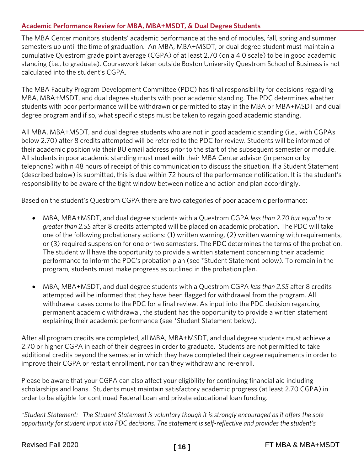# <span id="page-16-0"></span>**Academic Performance Review for MBA, MBA+MSDT***,* **& Dual Degree Students**

The MBA Center monitors students' academic performance at the end of modules, fall, spring and summer semesters up until the time of graduation. An MBA, MBA+MSDT, or dual degree student must maintain a cumulative Questrom grade point average (CGPA) of at least 2.70 (on a 4.0 scale) to be in good academic standing (i.e., to graduate). Coursework taken outside Boston University Questrom School of Business is not calculated into the student's CGPA.

The MBA Faculty Program Development Committee (PDC) has final responsibility for decisions regarding MBA, MBA+MSDT, and dual degree students with poor academic standing. The PDC determines whether students with poor performance will be withdrawn or permitted to stay in the MBA or MBA+MSDT and dual degree program and if so, what specific steps must be taken to regain good academic standing.

All MBA, MBA+MSDT, and dual degree students who are not in good academic standing (i.e., with CGPAs below 2.70) after 8 credits attempted will be referred to the PDC for review. Students will be informed of their academic position via their BU email address prior to the start of the subsequent semester or module. All students in poor academic standing must meet with their MBA Center advisor (in person or by telephone) within 48 hours of receipt of this communication to discuss the situation. If a Student Statement (described below) is submitted, this is due within 72 hours of the performance notification. It is the student's responsibility to be aware of the tight window between notice and action and plan accordingly.

Based on the student's Questrom CGPA there are two categories of poor academic performance:

- MBA, MBA+MSDT, and dual degree students with a Questrom CGPA *less than 2.70 but equal to or greater than 2.55* after 8 credits attempted will be placed on academic probation. The PDC will take one of the following probationary actions: (1) written warning, (2) written warning with requirements, or (3) required suspension for one or two semesters. The PDC determines the terms of the probation. The student will have the opportunity to provide a written statement concerning their academic performance to inform the PDC's probation plan (see \*Student Statement below). To remain in the program, students must make progress as outlined in the probation plan.
- MBA, MBA+MSDT, and dual degree students with a Questrom CGPA *less than 2.55* after 8 credits attempted will be informed that they have been flagged for withdrawal from the program. All withdrawal cases come to the PDC for a final review. As input into the PDC decision regarding permanent academic withdrawal, the student has the opportunity to provide a written statement explaining their academic performance (see \*Student Statement below).

After all program credits are completed, all MBA, MBA+MSDT, and dual degree students must achieve a 2.70 or higher CGPA in each of their degrees in order to graduate. Students are not permitted to take additional credits beyond the semester in which they have completed their degree requirements in order to improve their CGPA or restart enrollment, nor can they withdraw and re-enroll.

Please be aware that your CGPA can also affect your eligibility for continuing financial aid including scholarships and loans. Students must maintain satisfactory academic progress (at least 2.70 CGPA) in order to be eligible for continued Federal Loan and private educational loan funding.

*\*Student Statement: The Student Statement is voluntary though it is strongly encouraged as it offers the sole opportunity for student input into PDC decisions. The statement is self-reflective and provides the student's*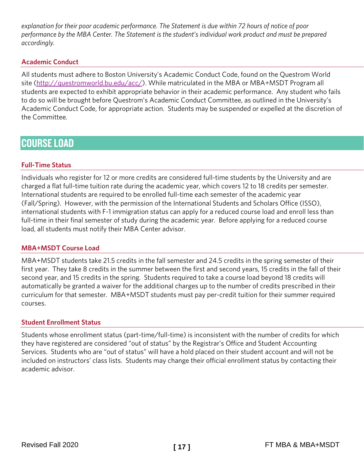*explanation for their poor academic performance. The Statement is due within 72 hours of notice of poor performance by the MBA Center. The Statement is the student's individual work product and must be prepared accordingly.* 

# <span id="page-17-0"></span>**Academic Conduct**

All students must adhere to Boston University's Academic Conduct Code, found on the Questrom World site [\(http://questromworld.bu.edu/acc/\)](http://questromworld.bu.edu/acc/). While matriculated in the MBA or MBA+MSDT Program all students are expected to exhibit appropriate behavior in their academic performance. Any student who fails to do so will be brought before Questrom's Academic Conduct Committee, as outlined in the University's Academic Conduct Code, for appropriate action. Students may be suspended or expelled at the discretion of the Committee.

# <span id="page-17-1"></span>COURSE LOAD

# <span id="page-17-2"></span>**Full-Time Status**

Individuals who register for 12 or more credits are considered full-time students by the University and are charged a flat full-time tuition rate during the academic year, which covers 12 to 18 credits per semester. International students are required to be enrolled full-time each semester of the academic year (Fall/Spring). However, with the permission of the International Students and Scholars Office (ISSO), international students with F-1 immigration status can apply for a reduced course load and enroll less than full-time in their final semester of study during the academic year. Before applying for a reduced course load, all students must notify their MBA Center advisor.

# <span id="page-17-3"></span>**MBA+MSDT Course Load**

MBA+MSDT students take 21.5 credits in the fall semester and 24.5 credits in the spring semester of their first year. They take 8 credits in the summer between the first and second years, 15 credits in the fall of their second year, and 15 credits in the spring. Students required to take a course load beyond 18 credits will automatically be granted a waiver for the additional charges up to the number of credits prescribed in their curriculum for that semester. MBA+MSDT students must pay per-credit tuition for their summer required courses.

#### <span id="page-17-4"></span>**Student Enrollment Status**

Students whose enrollment status (part-time/full-time) is inconsistent with the number of credits for which they have registered are considered "out of status" by the Registrar's Office and Student Accounting Services. Students who are "out of status" will have a hold placed on their student account and will not be included on instructors' class lists. Students may change their official enrollment status by contacting their academic advisor.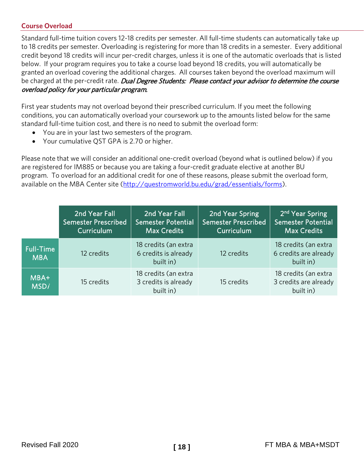# <span id="page-18-0"></span>**Course Overload**

Standard full-time tuition covers 12-18 credits per semester. All full-time students can automatically take up to 18 credits per semester. Overloading is registering for more than 18 credits in a semester. Every additional credit beyond 18 credits will incur per-credit charges, unless it is one of the automatic overloads that is listed below. If your program requires you to take a course load beyond 18 credits, you will automatically be granted an overload covering the additional charges. All courses taken beyond the overload maximum will be charged at the per-credit rate. Dual Degree Students: Please contact your advisor to determine the course overload policy for your particular program.

First year students may not overload beyond their prescribed curriculum. If you meet the following conditions, you can automatically overload your coursework up to the amounts listed below for the same standard full-time tuition cost, and there is no need to submit the overload form:

- You are in your last two semesters of the program.
- Your cumulative QST GPA is 2.70 or higher.

Please note that we will consider an additional one-credit overload (beyond what is outlined below) if you are registered for IM885 or because you are taking a four-credit graduate elective at another BU program. To overload for an additional credit for one of these reasons, please submit the overload form, available on the MBA Center site [\(http://questromworld.bu.edu/grad/essentials/forms\)](http://questromworld.bu.edu/grad/essentials/forms).

|                                | 2nd Year Fall<br><b>Semester Prescribed</b><br>Curriculum | 2nd Year Fall<br><b>Semester Potential</b><br><b>Max Credits</b> | 2nd Year Spring<br>Semester Prescribed<br>Curriculum | 2 <sup>nd</sup> Year Spring<br><b>Semester Potential</b><br><b>Max Credits</b> |
|--------------------------------|-----------------------------------------------------------|------------------------------------------------------------------|------------------------------------------------------|--------------------------------------------------------------------------------|
| <b>Full-Time</b><br><b>MBA</b> | 12 credits                                                | 18 credits (an extra<br>6 credits is already<br>built in)        | 12 credits                                           | 18 credits (an extra<br>6 credits are already<br>built in)                     |
| MBA+<br><b>MSDi</b>            | 15 credits                                                | 18 credits (an extra<br>3 credits is already<br>built in)        | 15 credits                                           | 18 credits (an extra<br>3 credits are already<br>built in)                     |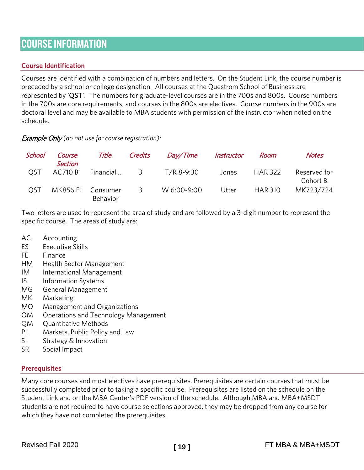# <span id="page-19-0"></span>COURSE INFORMATION

# <span id="page-19-1"></span>**Course Identification**

Courses are identified with a combination of numbers and letters. On the Student Link, the course number is preceded by a school or college designation. All courses at the Questrom School of Business are represented by 'QST'. The numbers for graduate-level courses are in the 700s and 800s. Course numbers in the 700s are core requirements, and courses in the 800s are electives. Course numbers in the 900s are doctoral level and may be available to MBA students with permission of the instructor when noted on the schedule.

Example Only *(do not use for course registration):*

<span id="page-19-9"></span><span id="page-19-8"></span><span id="page-19-7"></span><span id="page-19-6"></span><span id="page-19-5"></span><span id="page-19-4"></span><span id="page-19-3"></span><span id="page-19-2"></span>

| School     | Course<br><b>Section</b> | Title                | Credits                 | <i>Day/Time</i> | Instructor | Room           | <b>Notes</b>             |
|------------|--------------------------|----------------------|-------------------------|-----------------|------------|----------------|--------------------------|
| <b>OST</b> | AC710 B1                 |                      |                         | T/R 8-9:30      | Jones      | <b>HAR 322</b> | Reserved for<br>Cohort B |
| <b>OST</b> | MK856 F1                 | Consumer<br>Behavior | $\overline{\mathbf{3}}$ | W 6:00-9:00     | Utter      | <b>HAR 310</b> | MK723/724                |

Two letters are used to represent the area of study and are followed by a 3-digit number to represent the specific course. The areas of study are:

- AC Accounting
- ES Executive Skills
- FE Finance
- HM Health Sector Management
- IM International Management
- IS Information Systems
- MG General Management
- MK Marketing
- MO Management and Organizations
- OM Operations and Technology Management
- QM Quantitative Methods
- PL Markets, Public Policy and Law
- SI Strategy & Innovation
- <span id="page-19-10"></span>SR Social Impact

#### **Prerequisites**

Many core courses and most electives have prerequisites. Prerequisites are certain courses that must be successfully completed prior to taking a specific course. Prerequisites are listed on the schedule on the Student Link and on the MBA Center's PDF version of the schedule. Although MBA and MBA+MSDT students are not required to have course selections approved, they may be dropped from any course for which they have not completed the prerequisites.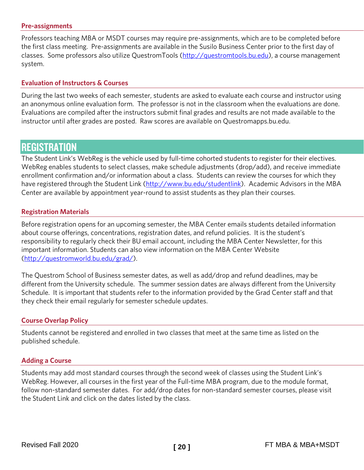#### <span id="page-20-0"></span>**Pre-assignments**

Professors teaching MBA or MSDT courses may require pre-assignments, which are to be completed before the first class meeting. Pre-assignments are available in the Susilo Business Center prior to the first day of classes. Some professors also utilize QuestromTools [\(http://questromtools.bu.edu\)](http://questromtools.bu.edu/), a course management system.

#### <span id="page-20-1"></span>**Evaluation of Instructors & Courses**

During the last two weeks of each semester, students are asked to evaluate each course and instructor using an anonymous online evaluation form. The professor is not in the classroom when the evaluations are done. Evaluations are compiled after the instructors submit final grades and results are not made available to the instructor until after grades are posted. Raw scores are available on Questromapps.bu.edu.

# <span id="page-20-2"></span>**REGISTRATION**

The Student Link's WebReg is the vehicle used by full-time cohorted students to register for their electives. WebReg enables students to select classes, make schedule adjustments (drop/add), and receive immediate enrollment confirmation and/or information about a class. Students can review the courses for which they have registered through the Student Link [\(http://www.bu.edu/studentlink\)](http://www.bu.edu/studentlink). Academic Advisors in the MBA Center are available by appointment year-round to assist students as they plan their courses.

#### <span id="page-20-3"></span>**Registration Materials**

Before registration opens for an upcoming semester, the MBA Center emails students detailed information about course offerings, concentrations, registration dates, and refund policies. It is the student's responsibility to regularly check their BU email account, including the MBA Center Newsletter, for this important information. Students can also view information on the MBA Center Website [\(http://questromworld.bu.edu/grad/\)](http://questromworld.bu.edu/grad/).

The Questrom School of Business semester dates, as well as add/drop and refund deadlines, may be different from the University schedule. The summer session dates are always different from the University Schedule. It is important that students refer to the information provided by the Grad Center staff and that they check their email regularly for semester schedule updates.

#### <span id="page-20-4"></span>**Course Overlap Policy**

Students cannot be registered and enrolled in two classes that meet at the same time as listed on the published schedule.

#### <span id="page-20-5"></span>**Adding a Course**

Students may add most standard courses through the second week of classes using the Student Link's WebReg. However, all courses in the first year of the Full-time MBA program, due to the module format, follow non-standard semester dates. For add/drop dates for non-standard semester courses, please visit the Student Link and click on the dates listed by the class.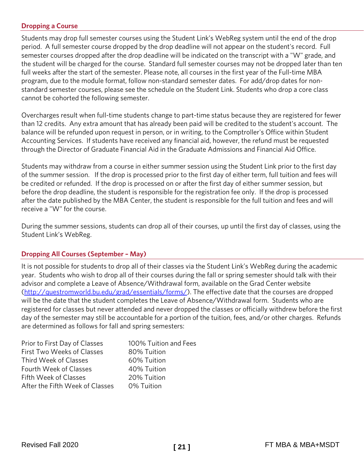# <span id="page-21-0"></span>**Dropping a Course**

Students may drop full semester courses using the Student Link's WebReg system until the end of the drop period. A full semester course dropped by the drop deadline will not appear on the student's record. Full semester courses dropped after the drop deadline will be indicated on the transcript with a "W" grade, and the student will be charged for the course. Standard full semester courses may not be dropped later than ten full weeks after the start of the semester. Please note, all courses in the first year of the Full-time MBA program, due to the module format, follow non-standard semester dates. For add/drop dates for nonstandard semester courses, please see the schedule on the Student Link. Students who drop a core class cannot be cohorted the following semester.

Overcharges result when full-time students change to part-time status because they are registered for fewer than 12 credits. Any extra amount that has already been paid will be credited to the student's account. The balance will be refunded upon request in person, or in writing, to the Comptroller's Office within Student Accounting Services. If students have received any financial aid, however, the refund must be requested through the Director of Graduate Financial Aid in the Graduate Admissions and Financial Aid Office.

Students may withdraw from a course in either summer session using the Student Link prior to the first day of the summer session. If the drop is processed prior to the first day of either term, full tuition and fees will be credited or refunded. If the drop is processed on or after the first day of either summer session, but before the drop deadline, the student is responsible for the registration fee only. If the drop is processed after the date published by the MBA Center, the student is responsible for the full tuition and fees and will receive a "W" for the course.

During the summer sessions, students can drop all of their courses, up until the first day of classes, using the Student Link's WebReg.

#### <span id="page-21-1"></span>**Dropping All Courses (September – May)**

It is not possible for students to drop all of their classes via the Student Link's WebReg during the academic year. Students who wish to drop all of their courses during the fall or spring semester should talk with their advisor and complete a Leave of Absence/Withdrawal form, available on the Grad Center website [\(http://questromworld.bu.edu/grad/essentials/forms/\)](http://questromworld.bu.edu/grad/essentials/forms/). The effective date that the courses are dropped will be the date that the student completes the Leave of Absence/Withdrawal form. Students who are registered for classes but never attended and never dropped the classes or officially withdrew before the first day of the semester may still be accountable for a portion of the tuition, fees, and/or other charges. Refunds are determined as follows for fall and spring semesters:

| Prior to First Day of Classes   | 100% Tuition and Fees |
|---------------------------------|-----------------------|
| First Two Weeks of Classes      | 80% Tuition           |
| Third Week of Classes           | 60% Tuition           |
| Fourth Week of Classes          | 40% Tuition           |
| Fifth Week of Classes           | 20% Tuition           |
| After the Fifth Week of Classes | 0% Tuition            |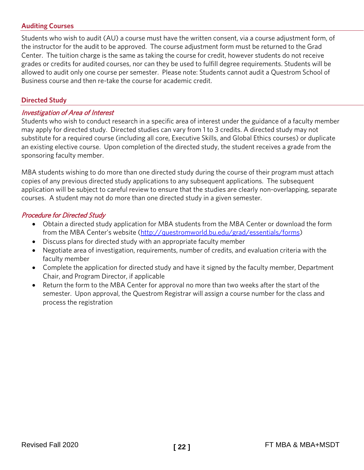# <span id="page-22-0"></span>**Auditing Courses**

Students who wish to audit (AU) a course must have the written consent, via a course adjustment form, of the instructor for the audit to be approved. The course adjustment form must be returned to the Grad Center. The tuition charge is the same as taking the course for credit, however students do not receive grades or credits for audited courses, nor can they be used to fulfill degree requirements. Students will be allowed to audit only one course per semester. Please note: Students cannot audit a Questrom School of Business course and then re-take the course for academic credit.

#### <span id="page-22-1"></span>**Directed Study**

# <span id="page-22-2"></span>Investigation of Area of Interest

Students who wish to conduct research in a specific area of interest under the guidance of a faculty member may apply for directed study. Directed studies can vary from 1 to 3 credits. A directed study may not substitute for a required course (including all core, Executive Skills, and Global Ethics courses) or duplicate an existing elective course. Upon completion of the directed study, the student receives a grade from the sponsoring faculty member.

MBA students wishing to do more than one directed study during the course of their program must attach copies of any previous directed study applications to any subsequent applications. The subsequent application will be subject to careful review to ensure that the studies are clearly non-overlapping, separate courses. A student may not do more than one directed study in a given semester.

#### <span id="page-22-3"></span>Procedure for Directed Study

- Obtain a directed study application for MBA students from the MBA Center or download the form from the MBA Center's website [\(http://questromworld.bu.edu/grad/essentials/forms\)](http://questromworld.bu.edu/grad/essentials/forms)
- Discuss plans for directed study with an appropriate faculty member
- Negotiate area of investigation, requirements, number of credits, and evaluation criteria with the faculty member
- Complete the application for directed study and have it signed by the faculty member, Department Chair, and Program Director, if applicable
- Return the form to the MBA Center for approval no more than two weeks after the start of the semester. Upon approval, the Questrom Registrar will assign a course number for the class and process the registration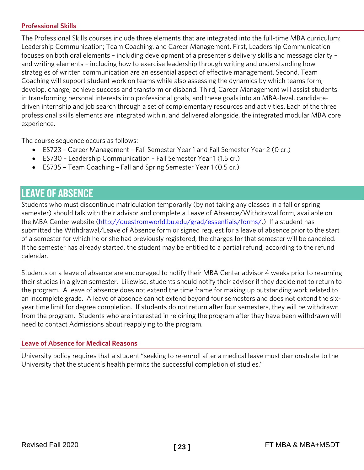# <span id="page-23-0"></span>**Professional Skills**

The Professional Skills courses include three elements that are integrated into the full-time MBA curriculum: Leadership Communication; Team Coaching, and Career Management. First, Leadership Communication focuses on both oral elements – including development of a presenter's delivery skills and message clarity – and writing elements – including how to exercise leadership through writing and understanding how strategies of written communication are an essential aspect of effective management. Second, Team Coaching will support student work on teams while also assessing the dynamics by which teams form, develop, change, achieve success and transform or disband. Third, Career Management will assist students in transforming personal interests into professional goals, and these goals into an MBA-level, candidatedriven internship and job search through a set of complementary resources and activities. Each of the three professional skills elements are integrated within, and delivered alongside, the integrated modular MBA core experience.

The course sequence occurs as follows:

- ES723 Career Management Fall Semester Year 1 and Fall Semester Year 2 (0 cr.)
- ES730 Leadership Communication Fall Semester Year 1 (1.5 cr.)
- ES735 Team Coaching Fall and Spring Semester Year 1 (0.5 cr.)

# <span id="page-23-1"></span>LEAVE OF ABSENCE

Students who must discontinue matriculation temporarily (by not taking any classes in a fall or spring semester) should talk with their advisor and complete a Leave of Absence/Withdrawal form, available on the MBA Center website [\(http://questromworld.bu.edu/grad/essentials/forms/.](http://questromworld.bu.edu/grad/essentials/forms/)) If a student has submitted the Withdrawal/Leave of Absence form or signed request for a leave of absence prior to the start of a semester for which he or she had previously registered, the charges for that semester will be canceled. If the semester has already started, the student may be entitled to a partial refund, according to the refund calendar.

Students on a leave of absence are encouraged to notify their MBA Center advisor 4 weeks prior to resuming their studies in a given semester. Likewise, students should notify their advisor if they decide not to return to the program. A leave of absence does not extend the time frame for making up outstanding work related to an incomplete grade. A leave of absence cannot extend beyond four semesters and does not extend the sixyear time limit for degree completion. If students do not return after four semesters, they will be withdrawn from the program. Students who are interested in rejoining the program after they have been withdrawn will need to contact Admissions about reapplying to the program.

#### <span id="page-23-2"></span>**Leave of Absence for Medical Reasons**

University policy requires that a student "seeking to re-enroll after a medical leave must demonstrate to the University that the student's health permits the successful completion of studies."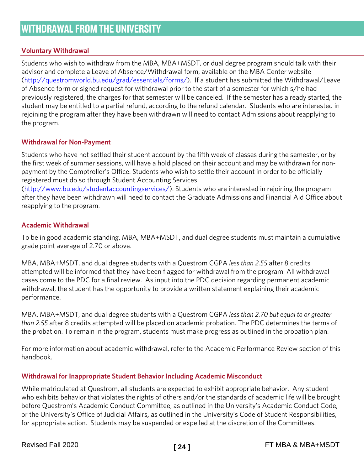# <span id="page-24-1"></span><span id="page-24-0"></span>**Voluntary Withdrawal**

Students who wish to withdraw from the MBA, MBA+MSDT*,* or dual degree program should talk with their advisor and complete a Leave of Absence/Withdrawal form, available on the MBA Center website [\(http://questromworld.bu.edu/grad/essentials/forms/\)](http://questromworld.bu.edu/grad/essentials/forms/). If a student has submitted the Withdrawal/Leave of Absence form or signed request for withdrawal prior to the start of a semester for which s/he had previously registered, the charges for that semester will be canceled. If the semester has already started, the student may be entitled to a partial refund, according to the refund calendar. Students who are interested in rejoining the program after they have been withdrawn will need to contact Admissions about reapplying to the program.

#### <span id="page-24-2"></span>**Withdrawal for Non-Payment**

Students who have not settled their student account by the fifth week of classes during the semester, or by the first week of summer sessions, will have a hold placed on their account and may be withdrawn for nonpayment by the Comptroller's Office. Students who wish to settle their account in order to be officially registered must do so through Student Accounting Services

[\(http://www.bu.edu/studentaccountingservices/\)](http://www.bu.edu/studentaccountingservices/). Students who are interested in rejoining the program after they have been withdrawn will need to contact the Graduate Admissions and Financial Aid Office about reapplying to the program.

# <span id="page-24-3"></span>**Academic Withdrawal**

To be in good academic standing, MBA, MBA+MSDT, and dual degree students must maintain a cumulative grade point average of 2.70 or above.

MBA, MBA+MSDT, and dual degree students with a Questrom CGPA *less than 2.55* after 8 credits attempted will be informed that they have been flagged for withdrawal from the program. All withdrawal cases come to the PDC for a final review. As input into the PDC decision regarding permanent academic withdrawal, the student has the opportunity to provide a written statement explaining their academic performance.

MBA, MBA+MSDT, and dual degree students with a Questrom CGPA *less than 2.70 but equal to or greater than 2.55* after 8 credits attempted will be placed on academic probation. The PDC determines the terms of the probation. To remain in the program, students must make progress as outlined in the probation plan.

For more information about academic withdrawal, refer to the Academic Performance Review section of this handbook.

#### <span id="page-24-4"></span>**Withdrawal for Inappropriate Student Behavior Including Academic Misconduct**

While matriculated at Questrom, all students are expected to exhibit appropriate behavior. Any student who exhibits behavior that violates the rights of others and/or the standards of academic life will be brought before Questrom's Academic Conduct Committee, as outlined in the University's Academic Conduct Code, or the University's Office of Judicial Affairs, as outlined in the University's Code of Student Responsibilities, for appropriate action. Students may be suspended or expelled at the discretion of the Committees.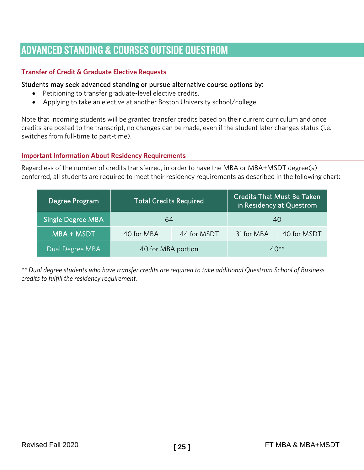# <span id="page-25-0"></span>ADVANCED STANDING & COURSES OUTSIDE QUESTROM

# <span id="page-25-1"></span>**Transfer of Credit & Graduate Elective Requests**

# Students may seek advanced standing or pursue alternative course options by:

- Petitioning to transfer graduate-level elective credits.
- Applying to take an elective at another Boston University school/college.

Note that incoming students will be granted transfer credits based on their current curriculum and once credits are posted to the transcript, no changes can be made, even if the student later changes status (i.e. switches from full-time to part-time).

#### <span id="page-25-2"></span>**Important Information About Residency Requirements**

Regardless of the number of credits transferred, in order to have the MBA or MBA+MSDT degree(s) conferred, all students are required to meet their residency requirements as described in the following chart:

| Degree Program    | <b>Total Credits Required</b> |             | <b>Credits That Must Be Taken</b><br>in Residency at Questrom |             |
|-------------------|-------------------------------|-------------|---------------------------------------------------------------|-------------|
| Single Degree MBA | 64                            |             | 40                                                            |             |
| MBA + MSDT        | 40 for MBA                    | 44 for MSDT | 31 for MBA                                                    | 40 for MSDT |
| Dual Degree MBA   | 40 for MBA portion            |             | $40**$                                                        |             |

*\*\* Dual degree students who have transfer credits are required to take additional Questrom School of Business credits to fulfill the residency requirement.*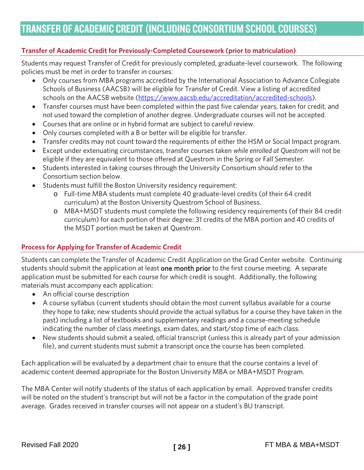# <span id="page-26-1"></span><span id="page-26-0"></span>**Transfer of Academic Credit for Previously-Completed Coursework (prior to matriculation)**

Students may request Transfer of Credit for previously completed, graduate-level coursework. The following policies must be met in order to transfer in courses:

- Only courses from MBA programs accredited by the International Association to Advance Collegiate Schools of Business (AACSB) will be eligible for Transfer of Credit. View a listing of accredited schools on the AACSB website [\(https://www.aacsb.edu/accreditation/accredited-schools\)](https://www.aacsb.edu/accreditation/accredited-schools).
- Transfer courses must have been completed within the past five calendar years, taken for credit, and not used toward the completion of another degree. Undergraduate courses will not be accepted.
- Courses that are online or in hybrid format are subject to careful review.
- Only courses completed with a B or better will be eligible for transfer.
- Transfer credits may not count toward the requirements of either the HSM or Social Impact program.
- Except under extenuating circumstances, transfer courses taken *while enrolled at Questrom* will not be eligible if they are equivalent to those offered at Questrom in the Spring or Fall Semester.
- Students interested in taking courses through the University Consortium should refer to the Consortium section below.
- Students must fulfill the Boston University residency requirement:
	- o Full-time MBA students must complete 40 graduate-level credits (of their 64 credit curriculum) at the Boston University Questrom School of Business.
	- o MBA+MSDT students must complete the following residency requirements (of their 84 credit curriculum) for each portion of their degree: 31 credits of the MBA portion and 40 credits of the MSDT portion must be taken at Questrom.

#### <span id="page-26-2"></span>**Process for Applying for Transfer of Academic Credit**

Students can complete the Transfer of Academic Credit Application on the Grad Center website. Continuing students should submit the application at least one month prior to the first course meeting. A separate application must be submitted for each course for which credit is sought. Additionally, the following materials must accompany each application:

- An official course description
- A course syllabus (current students should obtain the most current syllabus available for a course they hope to take; new students should provide the actual syllabus for a course they have taken in the past) including a list of textbooks and supplementary readings and a course-meeting schedule indicating the number of class meetings, exam dates, and start/stop time of each class.
- New students should submit a sealed, official transcript (unless this is already part of your admission file), and current students must submit a transcript once the course has been completed.

Each application will be evaluated by a department chair to ensure that the course contains a level of academic content deemed appropriate for the Boston University MBA or MBA+MSDT Program.

The MBA Center will notify students of the status of each application by email. Approved transfer credits will be noted on the student's transcript but will not be a factor in the computation of the grade point average. Grades received in transfer courses will not appear on a student's BU transcript.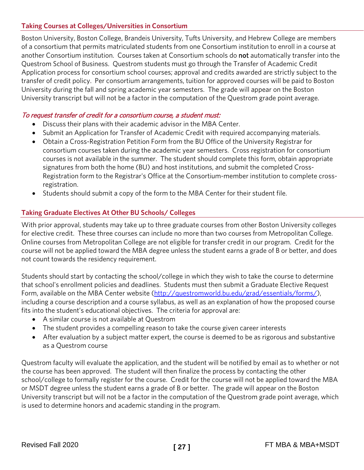# <span id="page-27-0"></span>**Taking Courses at Colleges/Universities in Consortium**

Boston University, Boston College, Brandeis University, Tufts University, and Hebrew College are members of a consortium that permits matriculated students from one Consortium institution to enroll in a course at another Consortium institution. Courses taken at Consortium schools do not automatically transfer into the Questrom School of Business. Questrom students must go through the Transfer of Academic Credit Application process for consortium school courses; approval and credits awarded are strictly subject to the transfer of credit policy. Per consortium arrangements, tuition for approved courses will be paid to Boston University during the fall and spring academic year semesters. The grade will appear on the Boston University transcript but will not be a factor in the computation of the Questrom grade point average.

# To request transfer of credit for a consortium course, a student must:

- Discuss their plans with their academic advisor in the MBA Center.
- Submit an Application for Transfer of Academic Credit with required accompanying materials.
- Obtain a Cross-Registration Petition Form from the BU Office of the University Registrar for consortium courses taken during the academic year semesters. Cross registration for consortium courses is not available in the summer. The student should complete this form, obtain appropriate signatures from both the home (BU) and host institutions, and submit the completed Cross-Registration form to the Registrar's Office at the Consortium-member institution to complete crossregistration.
- Students should submit a copy of the form to the MBA Center for their student file.

# <span id="page-27-1"></span>**Taking Graduate Electives At Other BU Schools/ Colleges**

With prior approval, students may take up to three graduate courses from other Boston University colleges for elective credit. These three courses can include no more than two courses from Metropolitan College. Online courses from Metropolitan College are not eligible for transfer credit in our program. Credit for the course will not be applied toward the MBA degree unless the student earns a grade of B or better, and does not count towards the residency requirement.

Students should start by contacting the school/college in which they wish to take the course to determine that school's enrollment policies and deadlines. Students must then submit a Graduate Elective Request Form, available on the MBA Center website [\(http://questromworld.bu.edu/grad/essentials/forms/\)](http://questromworld.bu.edu/grad/essentials/forms/), including a course description and a course syllabus, as well as an explanation of how the proposed course fits into the student's educational objectives. The criteria for approval are:

- A similar course is not available at Questrom
- The student provides a compelling reason to take the course given career interests
- After evaluation by a subject matter expert, the course is deemed to be as rigorous and substantive as a Questrom course

Questrom faculty will evaluate the application, and the student will be notified by email as to whether or not the course has been approved. The student will then finalize the process by contacting the other school/college to formally register for the course. Credit for the course will not be applied toward the MBA or MSDT degree unless the student earns a grade of B or better. The grade will appear on the Boston University transcript but will not be a factor in the computation of the Questrom grade point average, which is used to determine honors and academic standing in the program.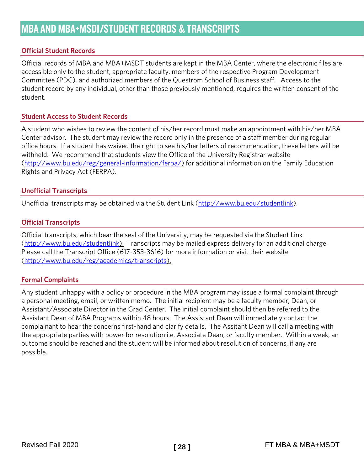# <span id="page-28-1"></span><span id="page-28-0"></span>**Official Student Records**

Official records of MBA and MBA+MSDT students are kept in the MBA Center, where the electronic files are accessible only to the student, appropriate faculty, members of the respective Program Development Committee (PDC), and authorized members of the Questrom School of Business staff. Access to the student record by any individual, other than those previously mentioned, requires the written consent of the student.

#### <span id="page-28-2"></span>**Student Access to Student Records**

A student who wishes to review the content of his/her record must make an appointment with his/her MBA Center advisor. The student may review the record only in the presence of a staff member during regular office hours. If a student has waived the right to see his/her letters of recommendation, these letters will be withheld. We recommend that students view the Office of the University Registrar website [\(http://www.bu.edu/reg/general-information/ferpa/\)](http://www.bu.edu/reg/general-information/ferpa/) for additional information on the Family Education Rights and Privacy Act (FERPA).

#### <span id="page-28-3"></span>**Unofficial Transcripts**

<span id="page-28-4"></span>Unofficial transcripts may be obtained via the Student Link [\(http://www.bu.edu/studentlink\)](http://www.bu.edu/studentlink).

#### **Official Transcripts**

Official transcripts, which bear the seal of the University, may be requested via the Student Link [\(http://www.bu.edu/studentlink\)](http://www.bu.edu/studentlink). Transcripts may be mailed express delivery for an additional charge. Please call the Transcript Office (617-353-3616) for more information or visit their website [\(http://www.bu.edu/reg/academics/transcripts\)](http://www.bu.edu/reg/academics/transcripts).

#### <span id="page-28-5"></span>**Formal Complaints**

Any student unhappy with a policy or procedure in the MBA program may issue a formal complaint through a personal meeting, email, or written memo. The initial recipient may be a faculty member, Dean, or Assistant/Associate Director in the Grad Center. The initial complaint should then be referred to the Assistant Dean of MBA Programs within 48 hours. The Assistant Dean will immediately contact the complainant to hear the concerns first-hand and clarify details. The Assitant Dean will call a meeting with the appropriate parties with power for resolution i.e. Associate Dean, or faculty member. Within a week, an outcome should be reached and the student will be informed about resolution of concerns, if any are possible.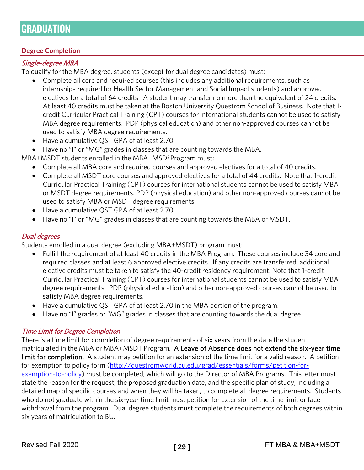# <span id="page-29-0"></span>**GRADUATION**

# <span id="page-29-1"></span>**Degree Completion**

# <span id="page-29-2"></span>Single-degree MBA

To qualify for the MBA degree, students (except for dual degree candidates) must:

- Complete all core and required courses (this includes any additional requirements, such as internships required for Health Sector Management and Social Impact students) and approved electives for a total of 64 credits. A student may transfer no more than the equivalent of 24 credits. At least 40 credits must be taken at the Boston University Questrom School of Business. Note that 1 credit Curricular Practical Training (CPT) courses for international students cannot be used to satisfy MBA degree requirements. PDP (physical education) and other non-approved courses cannot be used to satisfy MBA degree requirements.
- Have a cumulative QST GPA of at least 2.70.
- Have no "I" or "MG" grades in classes that are counting towards the MBA.

MBA+MSDT students enrolled in the MBA+MSD*i* Program must:

- Complete all MBA core and required courses and approved electives for a total of 40 credits.
- Complete all MSDT core courses and approved electives for a total of 44 credits. Note that 1-credit Curricular Practical Training (CPT) courses for international students cannot be used to satisfy MBA or MSDT degree requirements. PDP (physical education) and other non-approved courses cannot be used to satisfy MBA or MSDT degree requirements.
- Have a cumulative QST GPA of at least 2.70.
- Have no "I" or "MG" grades in classes that are counting towards the MBA or MSDT.

# <span id="page-29-3"></span>Dual degrees

Students enrolled in a dual degree (excluding MBA+MSDT) program must:

- Fulfill the requirement of at least 40 credits in the MBA Program. These courses include 34 core and required classes and at least 6 approved elective credits. If any credits are transferred, additional elective credits must be taken to satisfy the 40-credit residency requirement. Note that 1-credit Curricular Practical Training (CPT) courses for international students cannot be used to satisfy MBA degree requirements. PDP (physical education) and other non-approved courses cannot be used to satisfy MBA degree requirements.
- Have a cumulative QST GPA of at least 2.70 in the MBA portion of the program.
- Have no "I" grades or "MG" grades in classes that are counting towards the dual degree.

#### <span id="page-29-4"></span>Time Limit for Degree Completion

There is a time limit for completion of degree requirements of six years from the date the student matriculated in the MBA or MBA+MSDT Program. A Leave of Absence does not extend the six-year time limit for completion. A student may petition for an extension of the time limit for a valid reason. A petition for exemption to policy form [\(http://questromworld.bu.edu/grad/essentials/forms/petition-for](http://questromworld.bu.edu/grad/essentials/forms/petition-for-exemption-to-policy)[exemption-to-policy\)](http://questromworld.bu.edu/grad/essentials/forms/petition-for-exemption-to-policy) must be completed, which will go to the Director of MBA Programs. This letter must state the reason for the request, the proposed graduation date, and the specific plan of study, including a detailed map of specific courses and when they will be taken, to complete all degree requirements. Students who do not graduate within the six-year time limit must petition for extension of the time limit or face withdrawal from the program. Dual degree students must complete the requirements of both degrees within six years of matriculation to BU.